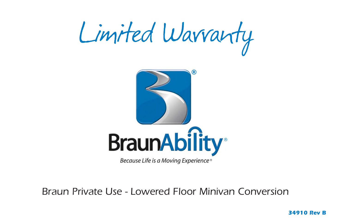



Braun Private Use - Lowered Floor Minivan Conversion

*34910 Rev B*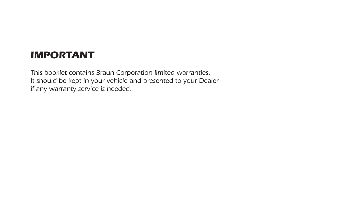# *IMPORTANT*

This booklet contains Braun Corporation limited warranties. It should be kept in your vehicle and presented to your Dealer if any warranty service is needed.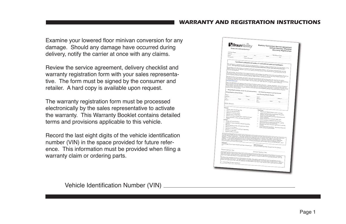# **WARRANTY AND REGISTRATION INSTRUCTIONS**

Examine your lowered floor minivan conversion for any damage. Should any damage have occurred during delivery, notify the carrier at once with any claims.

Review the service agreement, delivery checklist and warranty registration form with your sales representative. The form must be signed by the consumer and retailer. A hard copy is available upon request.

The warranty registration form must be processed electronically by the sales representative to activate the warranty. This Warranty Booklet contains detailed terms and provisions applicable to this vehicle.

Record the last eight digits of the vehicle identification number (VIN) in the space provided for future reference. This information must be provided when filing a warranty claim or ordering parts.



Vehicle Identification Number (VIN) \_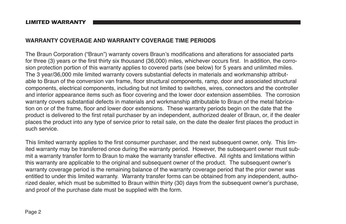#### **LIMITED WARRANTY**

# **WARRANTY COVERAGE AND WARRANTY COVERAGE TIME PERIODS**

The Braun Corporation ("Braun") warranty covers Braun's modifications and alterations for associated parts for three (3) vears or the first thirty six thousand (36,000) miles, whichever occurs first. In addition, the corrosion protection portion of this warranty applies to covered parts (see below) for 5 years and unlimited miles. The 3 year/36,000 mile limited warranty covers substantial defects in materials and workmanship attributable to Braun of the conversion van frame, floor structural components, ramp, door and associated structural components, electrical components, including but not limited to switches, wires, connectors and the controller and interior appearance items such as floor covering and the lower door extension assemblies. The corrosion warranty covers substantial defects in materials and workmanship attributable to Braun of the metal fabrication on or of the frame, floor and lower door extensions. These warranty periods begin on the date that the product is delivered to the first retail purchaser by an independent, authorized dealer of Braun, or, if the dealer places the product into any type of service prior to retail sale, on the date the dealer first places the product in such service

This limited warranty applies to the first consumer purchaser, and the next subsequent owner, only. This limited warranty may be transferred once during the warranty period. However, the subsequent owner must submit a warranty transfer form to Braun to make the warranty transfer effective. All rights and limitations within this warranty are applicable to the original and subsequent owner of the product. The subsequent owner's warranty coverage period is the remaining balance of the warranty coverage period that the prior owner was entitled to under this limited warranty. Warranty transfer forms can be obtained from any independent, authorized dealer, which must be submitted to Braun within thirty (30) days from the subsequent owner's purchase, and proof of the purchase date must be supplied with the form.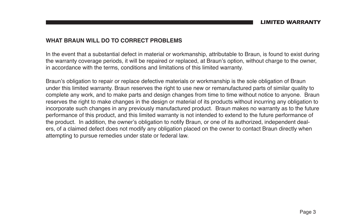# WHAT BRAUN WILL DO TO CORRECT PROBLEMS

In the event that a substantial defect in material or workmanship, attributable to Braun, is found to exist during the warranty coverage periods, it will be repaired or replaced, at Braun's option, without charge to the owner, in accordance with the terms, conditions and limitations of this limited warranty.

Braun's obligation to repair or replace defective materials or workmanship is the sole obligation of Braun under this limited warranty. Braun reserves the right to use new or remanufactured parts of similar quality to complete any work, and to make parts and design changes from time to time without notice to anyone. Braun reserves the right to make changes in the design or material of its products without incurring any obligation to incorporate such changes in any previously manufactured product. Braun makes no warranty as to the future performance of this product, and this limited warranty is not intended to extend to the future performance of the product. In addition, the owner's obligation to notify Braun, or one of its authorized, independent dealers, of a claimed defect does not modify any obligation placed on the owner to contact Braun directly when attempting to pursue remedies under state or federal law.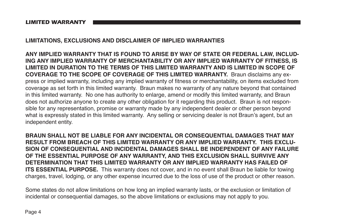*LIMITED WARRANTY*

# **LIMITATIONS, EXCLUSIONS AND DISCLAIMER OF IMPLIED WARRANTIES**

**ANY IMPLIED WARRANTY THAT IS FOUND TO ARISE BY WAY OF STATE OR FEDERAL LAW, INCLUD-ING ANY IMPLIED WARRANTY OF MERCHANTABILITY OR ANY IMPLIED WARRANTY OF FITNESS, IS LIMITED IN DURATION TO THE TERMS OF THIS LIMITED WARRANTY AND IS LIMITED IN SCOPE OF COVERAGE TO THE SCOPE OF COVERAGE OF THIS LIMITED WARRANTY.** Braun disclaims any express or implied warranty, including any implied warranty of fitness or merchantability, on items excluded from coverage as set forth in this limited warranty. Braun makes no warranty of any nature beyond that contained in this limited warranty. No one has authority to enlarge, amend or modify this limited warranty, and Braun does not authorize anyone to create any other obligation for it regarding this product. Braun is not responsible for any representation, promise or warranty made by any independent dealer or other person beyond what is expressly stated in this limited warranty. Any selling or servicing dealer is not Braun's agent, but an independent entity.

**BRAUN SHALL NOT BE LIABLE FOR ANY INCIDENTAL OR CONSEQUENTIAL DAMAGES THAT MAY RESULT FROM BREACH OF THIS LIMITED WARRANTY OR ANY IMPLIED WARRANTY. THIS EXCLU-SION OF CONSEQUENTIAL AND INCIDENTAL DAMAGES SHALL BE INDEPENDENT OF ANY FAILURE OF THE ESSENTIAL PURPOSE OF ANY WARRANTY, AND THIS EXCLUSION SHALL SURVIVE ANY DETERMINATION THAT THIS LIMITED WARRANTY OR ANY IMPLIED WARRANTY HAS FAILED OF ITS ESSENTIAL PURPOSE.** This warranty does not cover, and in no event shall Braun be liable for towing charges, travel, lodging, or any other expense incurred due to the loss of use of the product or other reason.

Some states do not allow limitations on how long an implied warranty lasts, or the exclusion or limitation of incidental or consequential damages, so the above limitations or exclusions may not apply to you.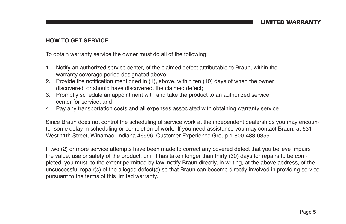# **HOW TO GET SERVICE**

To obtain warranty service the owner must do all of the following:

- 1. Notify an authorized service center, of the claimed defect attributable to Braun, within the warranty coverage period designated above:
- 2. Provide the notification mentioned in (1), above, within ten (10) days of when the owner discovered, or should have discovered, the claimed defect:
- 3. Promptly schedule an appointment with and take the product to an authorized service center for service: and
- 4. Pay any transportation costs and all expenses associated with obtaining warranty service.

Since Braun does not control the scheduling of service work at the independent dealerships you may encounter some delay in scheduling or completion of work. If you need assistance you may contact Braun, at 631 West 11th Street, Winamac, Indiana 46996; Customer Experience Group 1-800-488-0359.

If two (2) or more service attempts have been made to correct any covered defect that you believe impairs the value, use or safety of the product, or if it has taken longer than thirty (30) days for repairs to be completed, you must, to the extent permitted by law, notify Braun directly, in writing, at the above address, of the unsuccessful repair(s) of the alleged defect(s) so that Braun can become directly involved in providing service pursuant to the terms of this limited warranty.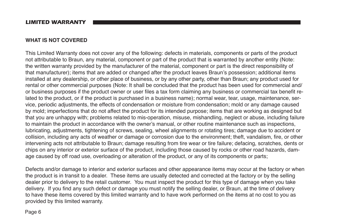#### **LIMITED WARRANTY**

### **WHAT IS NOT COVERED**

This Limited Warranty does not cover any of the following: defects in materials, components or parts of the product not attributable to Braun, any material, component or part of the product that is warranted by another entity (Note: the written warranty provided by the manufacturer of the material, component or part is the direct responsibility of that manufacturer); items that are added or changed after the product leaves Braun's possession; additional items installed at any dealership, or other place of business, or by any other party, other than Braun; any product used for rental or other commercial purposes (Note: It shall be concluded that the product has been used for commercial and/ or business purposes if the product owner or user files a tax form claiming any business or commercial tax benefit related to the product, or if the product is purchased in a business name); normal wear, tear, usage, maintenance, service, periodic adjustments, the effects of condensation or moisture from condensation; mold or any damage caused by mold; imperfections that do not affect the product for its intended purpose; items that are working as designed but that you are unhappy with; problems related to mis-operation, misuse, mishandling, neglect or abuse, including failure to maintain the product in accordance with the owner's manual, or other routine maintenance such as inspections, lubricating, adjustments, tightening of screws, sealing, wheel alignments or rotating tires; damage due to accident or collision, including any acts of weather or damage or corrosion due to the environment; theft, vandalism, fire, or other intervening acts not attributable to Braun; damage resulting from tire wear or tire failure; defacing, scratches, dents or chips on any interior or exterior surface of the product, including those caused by rocks or other road hazards, damage caused by off road use, overloading or alteration of the product, or any of its components or parts;

Defects and/or damage to interior and exterior surfaces and other appearance items may occur at the factory or when the product is in transit to a dealer. These items are usually detected and corrected at the factory or by the selling dealer prior to delivery to the retail customer. You must inspect the product for this type of damage when you take delivery. If you find any such defect or damage you must notify the selling dealer, or Braun, at the time of delivery to have these items covered by this limited warranty and to have work performed on the items at no cost to you as provided by this limited warranty.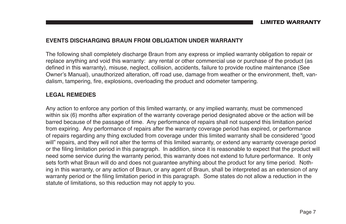# **EVENTS DISCHARGING BRAUN FROM OBLIGATION UNDER WARRANTY**

The following shall completely discharge Braun from any express or implied warranty obligation to repair or replace anything and void this warranty: any rental or other commercial use or purchase of the product (as defined in this warranty), misuse, neglect, collision, accidents, failure to provide routine maintenance (See Owner's Manual), unauthorized alteration, off road use, damage from weather or the environment, theft, vandalism, tampering, fire, explosions, overloading the product and odometer tampering.

# **LEGAL REMEDIES**

Any action to enforce any portion of this limited warranty, or any implied warranty, must be commenced within six (6) months after expiration of the warranty coverage period designated above or the action will be barred because of the passage of time. Any performance of repairs shall not suspend this limitation period from expiring. Any performance of repairs after the warranty coverage period has expired, or performance of repairs regarding any thing excluded from coverage under this limited warranty shall be considered "good will" repairs, and they will not alter the terms of this limited warranty, or extend any warranty coverage period or the filing limitation period in this paragraph. In addition, since it is reasonable to expect that the product will heed some service during the warranty period, this warranty does not extend to future performance. It only sets forth what Braun will do and does not quarantee anything about the product for any time period. Nothing in this warranty, or any action of Braun, or any agent of Braun, shall be interpreted as an extension of any warranty period or the filing limitation period in this paragraph. Some states do not allow a reduction in the statute of limitations, so this reduction may not apply to you.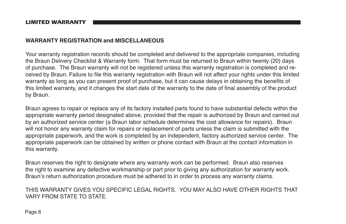# **WARRANTY REGISTRATION and MISCELLANEOUS**

Your warranty registration records should be completed and delivered to the appropriate companies, including the Braun Delivery Checklist & Warranty form. That form must be returned to Braun within twenty (20) days of purchase. The Braun warranty will not be registered unless this warranty registration is completed and received by Braun. Failure to file this warranty registration with Braun will not affect your rights under this limited warranty as long as you can present proof of purchase, but it can cause delays in obtaining the benefits of this limited warranty, and it changes the start date of the warranty to the date of final assembly of the product by Braun.

Braun agrees to repair or replace any of its factory installed parts found to have substantial defects within the appropriate warranty period designated above, provided that the repair is authorized by Braun and carried out by an authorized service center (a Braun labor schedule determines the cost allowance for repairs). Braun will not honor any warranty claim for repairs or replacement of parts unless the claim is submitted with the appropriate paperwork, and the work is completed by an independent, factory authorized service center. The appropriate paperwork can be obtained by written or phone contact with Braun at the contact information in this warranty.

Braun reserves the right to designate where any warranty work can be performed. Braun also reserves the right to examine any defective workmanship or part prior to giving any authorization for warranty work. Braun's return authorization procedure must be adhered to in order to process any warranty claims.

THIS WARRANTY GIVES YOU SPECIFIC LEGAL RIGHTS YOU MAY ALSO HAVE OTHER RIGHTS THAT VARY FROM STATE TO STATE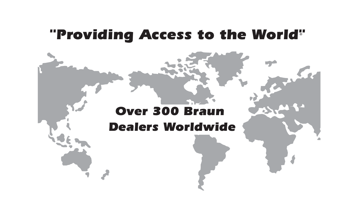# *"Providing Access to the World"*®